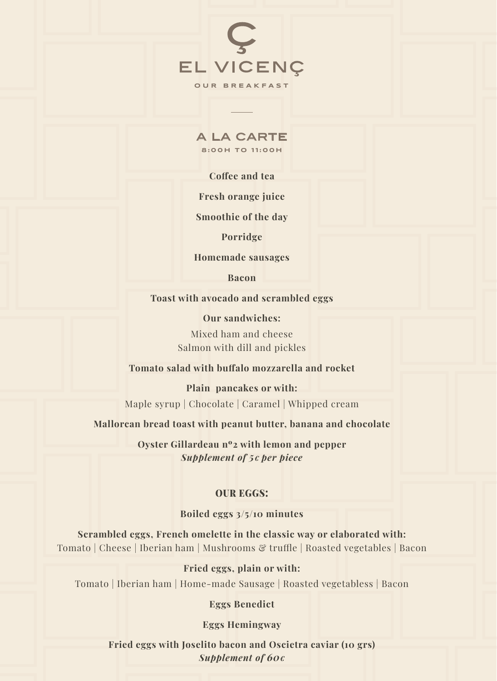

a la carte **8:00H TO 11:00H**

**Coffee and tea**

**Fresh orange juice**

**Smoothie of the day**

**Porridge**

**Homemade sausages**

**Bacon**

**Toast with avocado and scrambled eggs**

**Our sandwiches:** Mixed ham and cheese Salmon with dill and pickles

**Tomato salad with buffalo mozzarella and rocket**

**Plain pancakes or with:** Maple syrup | Chocolate | Caramel | Whipped cream

**Mallorcan bread toast with peanut butter, banana and chocolate**

**Oyster Gillardeau nº2 with lemon and pepper** *Supplement of 5€ per piece*

## OUR EGGS:

**Boiled eggs 3/5/10 minutes**

**Scrambled eggs, French omelette in the classic way or elaborated with:**  Tomato | Cheese | Iberian ham | Mushrooms & truffle | Roasted vegetables | Bacon

## **Fried eggs, plain or with:**

Tomato | Iberian ham | Home-made Sausage | Roasted vegetabless | Bacon

## **Eggs Benedict**

**Eggs Hemingway**

**Fried eggs with Joselito bacon and Oscietra caviar (10 grs)** *Supplement of 60€*